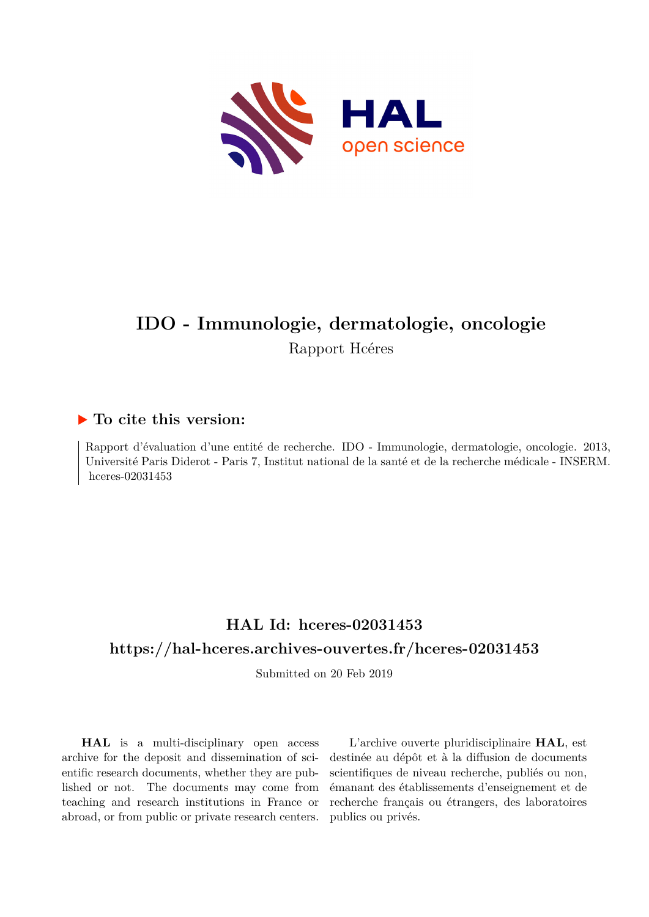

# **IDO - Immunologie, dermatologie, oncologie** Rapport Hcéres

## **To cite this version:**

Rapport d'évaluation d'une entité de recherche. IDO - Immunologie, dermatologie, oncologie. 2013, Université Paris Diderot - Paris 7, Institut national de la santé et de la recherche médicale - INSERM.  $hceres-02031453$ 

# **HAL Id: hceres-02031453 <https://hal-hceres.archives-ouvertes.fr/hceres-02031453>**

Submitted on 20 Feb 2019

**HAL** is a multi-disciplinary open access archive for the deposit and dissemination of scientific research documents, whether they are published or not. The documents may come from teaching and research institutions in France or abroad, or from public or private research centers.

L'archive ouverte pluridisciplinaire **HAL**, est destinée au dépôt et à la diffusion de documents scientifiques de niveau recherche, publiés ou non, émanant des établissements d'enseignement et de recherche français ou étrangers, des laboratoires publics ou privés.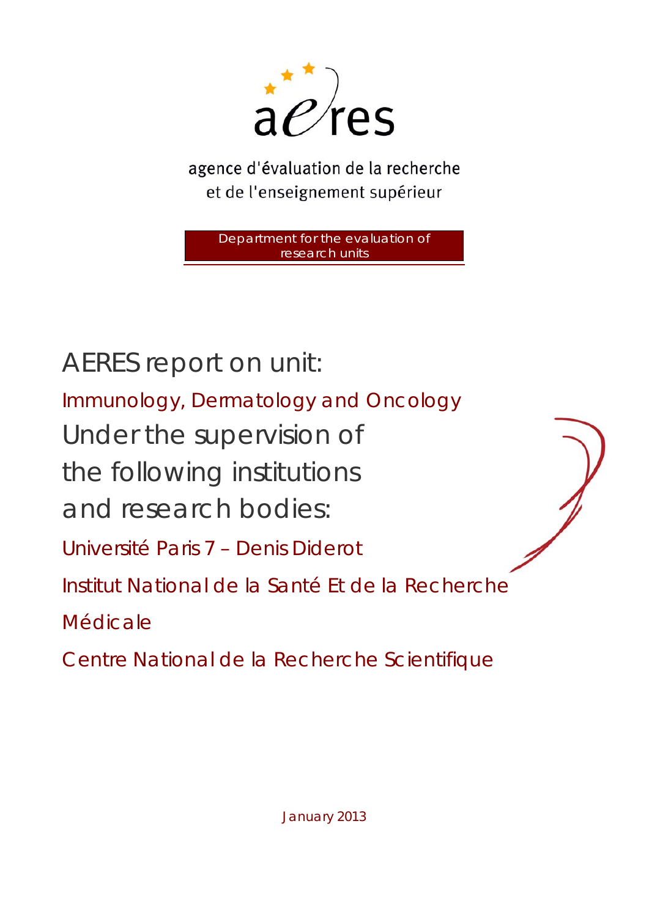

agence d'évaluation de la recherche et de l'enseignement supérieur

Department for the evaluation of research units

AERES report on unit: Immunology, Dermatology and Oncology Under the supervision of the following institutions and research bodies: Université Paris 7 – Denis Diderot Institut National de la Santé Et de la Recherche Médicale

Centre National de la Recherche Scientifique

January 2013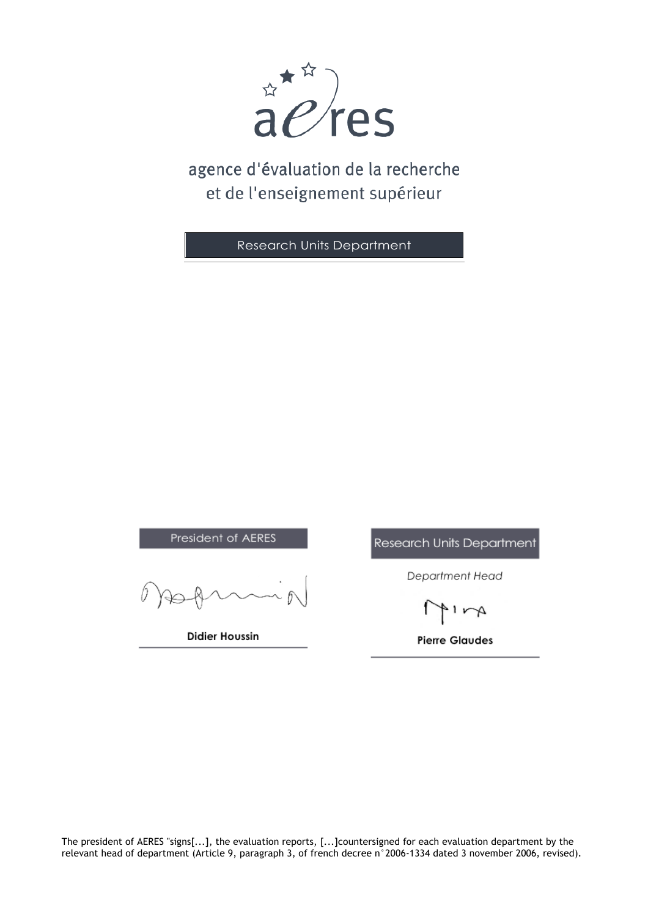

# agence d'évaluation de la recherche et de l'enseignement supérieur

Research Units Department

President of AERES

**Didier Houssin** 

Research Units Department

Department Head

 $1 - A$ 

**Pierre Glaudes** 

The president of AERES "signs[...], the evaluation reports, [...]countersigned for each evaluation department by the relevant head of department (Article 9, paragraph 3, of french decree n°2006-1334 dated 3 november 2006, revised).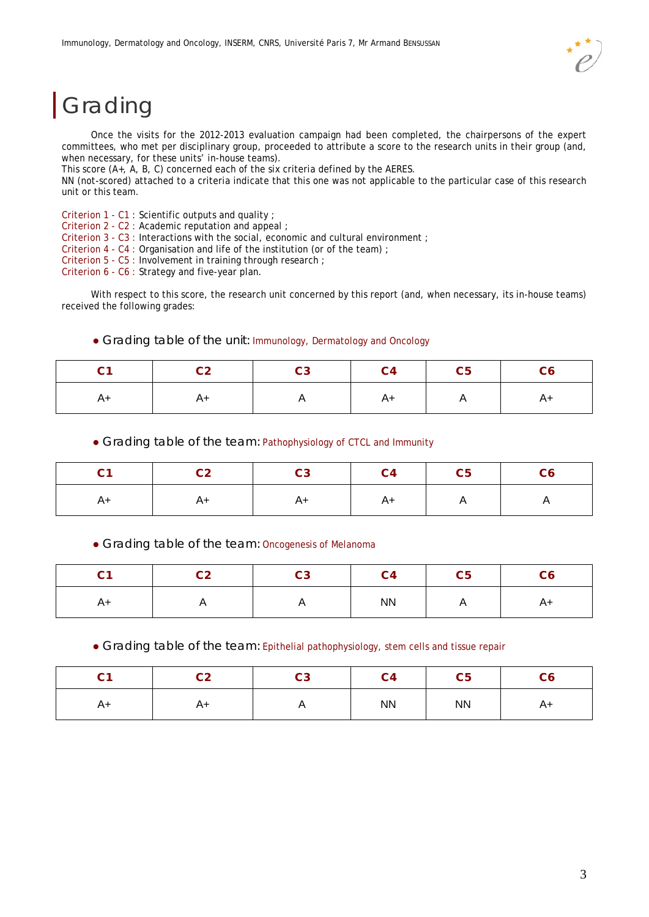# Grading

Once the visits for the 2012-2013 evaluation campaign had been completed, the chairpersons of the expert committees, who met per disciplinary group, proceeded to attribute a score to the research units in their group (and, when necessary, for these units' in-house teams).

This score (A+, A, B, C) concerned each of the six criteria defined by the AERES.

NN (not-scored) attached to a criteria indicate that this one was not applicable to the particular case of this research unit or this team.

Criterion 1 - C1 : Scientific outputs and quality ;

Criterion 2 - C2 : Academic reputation and appeal ;

Criterion 3 - C3 : Interactions with the social, economic and cultural environment ;

Criterion 4 - C4 : Organisation and life of the institution (or of the team) ;

Criterion 5 - C5 : Involvement in training through research ;

Criterion 6 - C6 : Strategy and five-year plan.

With respect to this score, the research unit concerned by this report (and, when necessary, its in-house teams) received the following grades:

|  |  | • Grading table of the unit: Immunology, Dermatology and Oncology |  |  |
|--|--|-------------------------------------------------------------------|--|--|
|  |  |                                                                   |  |  |

| C1 - | C2   C3   C4   C5   C6 |    |   |  |
|------|------------------------|----|---|--|
|      | A+                     | A+ | A |  |

Grading table of the team: Pathophysiology of CTCL and Immunity

| C1 | C2   C3   C4   C5   C6 |    |    |   |  |
|----|------------------------|----|----|---|--|
|    |                        | A+ | A+ | A |  |

Grading table of the team: Oncogenesis of Melanoma

| <b>^</b><br>v | C <sub>2</sub><br>ິ | C <sub>3</sub> | C <sub>4</sub> | C <sub>5</sub> |      |
|---------------|---------------------|----------------|----------------|----------------|------|
| A+            | . .                 | ,,             | <b>NN</b>      | ,,             | $A+$ |

Grading table of the team: Epithelial pathophysiology, stem cells and tissue repair

| $\sim$<br>◡ | $\overline{\text{c2}}$ | C <sub>3</sub>           | C <sub>4</sub> | C <sub>5</sub> | C6 |
|-------------|------------------------|--------------------------|----------------|----------------|----|
| A+          | $A+$                   | $\overline{\phantom{a}}$ | ${\sf NN}$     | <b>NN</b>      | A+ |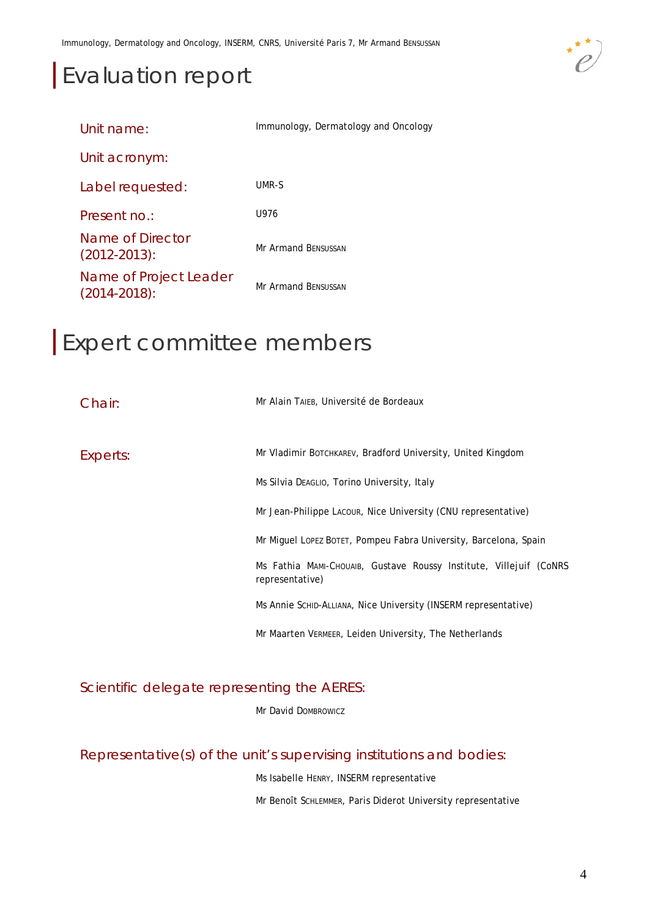# Evaluation report



| Unit name:                                  | Immunology, Dermatology and Oncology |
|---------------------------------------------|--------------------------------------|
| Unit acronym:                               |                                      |
| Label requested:                            | UMR-S                                |
| Present no.:                                | U976                                 |
| Name of Director<br>$(2012 - 2013)$ :       | <b>Mr Armand BENSUSSAN</b>           |
| Name of Project Leader<br>$(2014 - 2018)$ : | Mr Armand BENSUSSAN                  |

# Expert committee members

| Chair:   | Mr Alain TAIEB, Université de Bordeaux                                                |
|----------|---------------------------------------------------------------------------------------|
| Experts: | Mr Vladimir BOTCHKAREV, Bradford University, United Kingdom                           |
|          | Ms Silvia Deaglio, Torino University, Italy                                           |
|          | Mr Jean-Philippe Lacour, Nice University (CNU representative)                         |
|          | Mr Miquel Lopez Botet, Pompeu Fabra University, Barcelona, Spain                      |
|          | Ms Fathia MAMI-CHOUAIB, Gustave Roussy Institute, Villejuif (CoNRS<br>representative) |
|          | Ms Annie Schip-Alliana, Nice University (INSERM representative)                       |
|          | Mr Maarten VERMEER, Leiden University, The Netherlands                                |

Scientific delegate representing the AERES:

Mr David DOMBROWICZ

Representative(s) of the unit's supervising institutions and bodies:

Ms Isabelle HENRY, INSERM representative

Mr Benoît SCHLEMMER, Paris Diderot University representative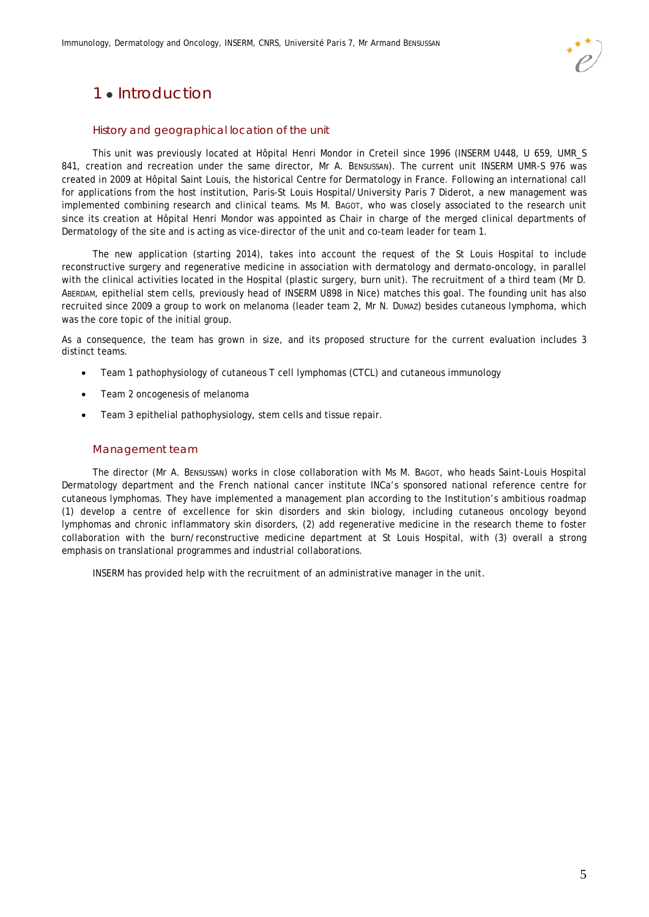

# 1 · Introduction

#### History and geographical location of the unit

This unit was previously located at Hôpital Henri Mondor in Creteil since 1996 (INSERM U448, U 659, UMR\_S 841, creation and recreation under the same director, Mr A. BENSUSSAN). The current unit INSERM UMR-S 976 was created in 2009 at Hôpital Saint Louis, the historical Centre for Dermatology in France. Following an international call for applications from the host institution, Paris-St Louis Hospital/University Paris 7 Diderot, a new management was implemented combining research and clinical teams. Ms M. BAGOT, who was closely associated to the research unit since its creation at Hôpital Henri Mondor was appointed as Chair in charge of the merged clinical departments of Dermatology of the site and is acting as vice-director of the unit and co-team leader for team 1.

The new application (starting 2014), takes into account the request of the St Louis Hospital to include reconstructive surgery and regenerative medicine in association with dermatology and dermato-oncology, in parallel with the clinical activities located in the Hospital (plastic surgery, burn unit). The recruitment of a third team (Mr D. ABERDAM, epithelial stem cells, previously head of INSERM U898 in Nice) matches this goal. The founding unit has also recruited since 2009 a group to work on melanoma (leader team 2, Mr N. DUMAZ) besides cutaneous lymphoma, which was the core topic of the initial group.

As a consequence, the team has grown in size, and its proposed structure for the current evaluation includes 3 distinct teams.

- Team 1 pathophysiology of cutaneous T cell lymphomas (CTCL) and cutaneous immunology
- Team 2 oncogenesis of melanoma
- Team 3 epithelial pathophysiology, stem cells and tissue repair.

#### Management team

The director (Mr A. BENSUSSAN) works in close collaboration with Ms M. BAGOT, who heads Saint-Louis Hospital Dermatology department and the French national cancer institute INCa's sponsored national reference centre for cutaneous lymphomas. They have implemented a management plan according to the Institution's ambitious roadmap (1) develop a centre of excellence for skin disorders and skin biology, including cutaneous oncology beyond lymphomas and chronic inflammatory skin disorders, (2) add regenerative medicine in the research theme to foster collaboration with the burn/reconstructive medicine department at St Louis Hospital, with (3) overall a strong emphasis on translational programmes and industrial collaborations.

INSERM has provided help with the recruitment of an administrative manager in the unit.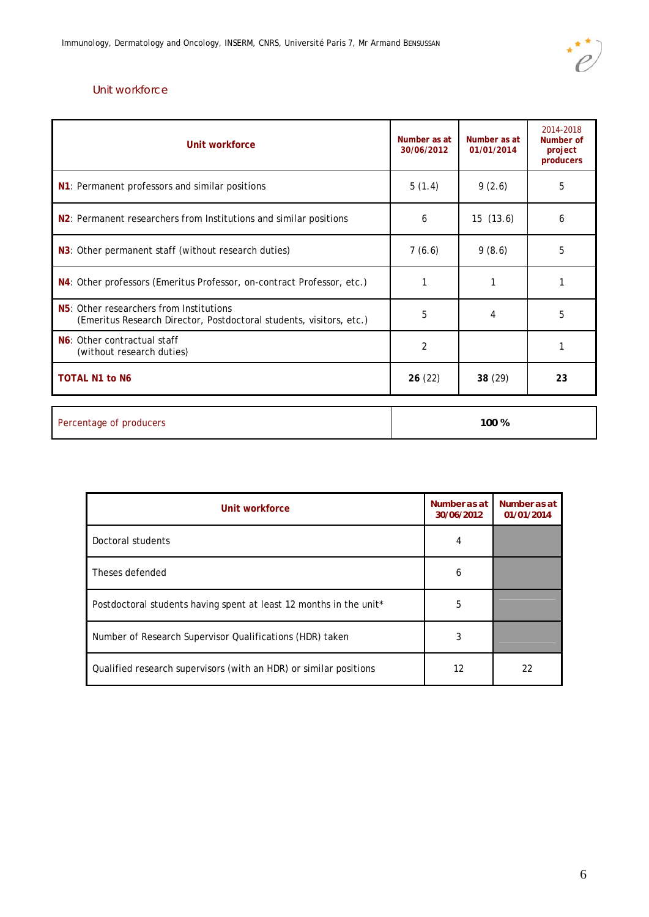

### Unit workforce

| Unit workforce                                                                                                              | Number as at<br>30/06/2012 | Number as at<br>01/01/2014 | 2014-2018<br>Number of<br>project<br>producers |
|-----------------------------------------------------------------------------------------------------------------------------|----------------------------|----------------------------|------------------------------------------------|
| N1: Permanent professors and similar positions                                                                              | 5(1.4)                     | 9(2.6)                     | 5                                              |
| N <sub>2</sub> : Permanent researchers from Institutions and similar positions                                              | 6                          | 15(13.6)                   | 6                                              |
| N3: Other permanent staff (without research duties)                                                                         | 7(6.6)                     | 9(8.6)                     | 5                                              |
| N4: Other professors (Emeritus Professor, on-contract Professor, etc.)                                                      |                            |                            |                                                |
| N <sub>5</sub> : Other researchers from Institutions<br>(Emeritus Research Director, Postdoctoral students, visitors, etc.) | 5                          | 4                          | 5                                              |
| N6: Other contractual staff<br>(without research duties)                                                                    | $\overline{2}$             |                            |                                                |
| <b>TOTAL N1 to N6</b>                                                                                                       | 26(22)                     | 38 (29)                    | 23                                             |
| Percentage of producers                                                                                                     |                            | 100 %                      |                                                |

| Unit workforce                                                     | Number as at<br>30/06/2012 | Number as at<br>01/01/2014 |
|--------------------------------------------------------------------|----------------------------|----------------------------|
| Doctoral students                                                  | 4                          |                            |
| Theses defended                                                    | 6                          |                            |
| Postdoctoral students having spent at least 12 months in the unit* | 5                          |                            |
| Number of Research Supervisor Qualifications (HDR) taken           | 3                          |                            |
| Qualified research supervisors (with an HDR) or similar positions  | 12                         | 22                         |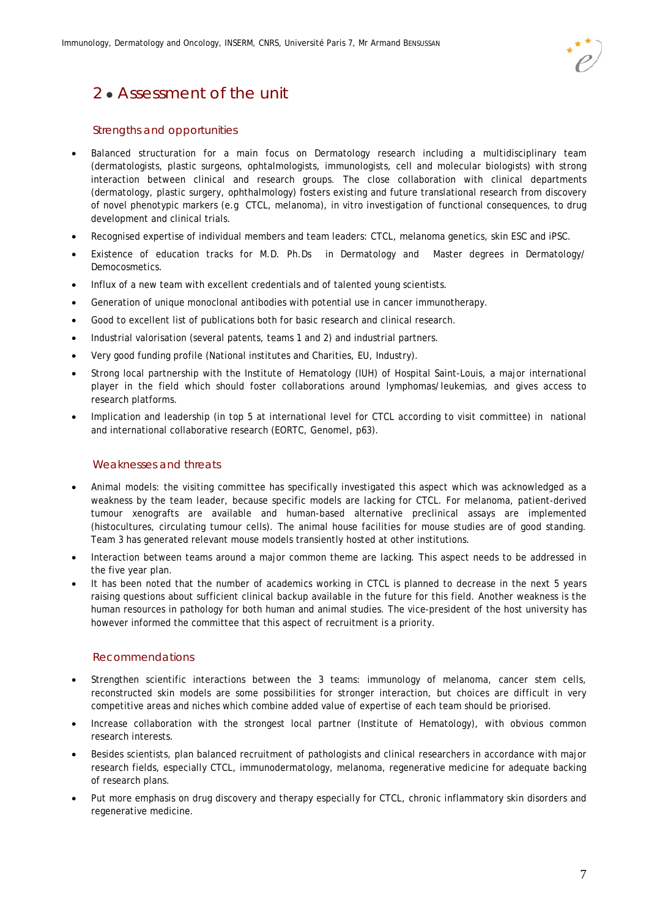

# 2 • Assessment of the unit

#### Strengths and opportunities

- Balanced structuration for a main focus on Dermatology research including a multidisciplinary team (dermatologists, plastic surgeons, ophtalmologists, immunologists, cell and molecular biologists) with strong interaction between clinical and research groups. The close collaboration with clinical departments (dermatology, plastic surgery, ophthalmology) fosters existing and future translational research from discovery of novel phenotypic markers (e.g CTCL, melanoma), in vitro investigation of functional consequences, to drug development and clinical trials.
- Recognised expertise of individual members and team leaders: CTCL, melanoma genetics, skin ESC and iPSC.
- Existence of education tracks for M.D. Ph.Ds in Dermatology and Master degrees in Dermatology/ Democosmetics.
- Influx of a new team with excellent credentials and of talented young scientists.
- Generation of unique monoclonal antibodies with potential use in cancer immunotherapy.
- Good to excellent list of publications both for basic research and clinical research.
- Industrial valorisation (several patents, teams 1 and 2) and industrial partners.
- Very good funding profile (National institutes and Charities, EU, Industry).
- Strong local partnership with the Institute of Hematology (IUH) of Hospital Saint-Louis, a major international player in the field which should foster collaborations around lymphomas/leukemias, and gives access to research platforms.
- Implication and leadership (in top 5 at international level for CTCL according to visit committee) in national and international collaborative research (EORTC, Genomel, p63).

#### Weaknesses and threats

- Animal models: the visiting committee has specifically investigated this aspect which was acknowledged as a weakness by the team leader, because specific models are lacking for CTCL. For melanoma, patient-derived tumour xenografts are available and human-based alternative preclinical assays are implemented (histocultures, circulating tumour cells). The animal house facilities for mouse studies are of good standing. Team 3 has generated relevant mouse models transiently hosted at other institutions.
- Interaction between teams around a major common theme are lacking. This aspect needs to be addressed in the five year plan.
- It has been noted that the number of academics working in CTCL is planned to decrease in the next 5 years raising questions about sufficient clinical backup available in the future for this field. Another weakness is the human resources in pathology for both human and animal studies. The vice-president of the host university has however informed the committee that this aspect of recruitment is a priority.

#### Recommendations

- Strengthen scientific interactions between the 3 teams: immunology of melanoma, cancer stem cells, reconstructed skin models are some possibilities for stronger interaction, but choices are difficult in very competitive areas and niches which combine added value of expertise of each team should be priorised.
- Increase collaboration with the strongest local partner (Institute of Hematology), with obvious common research interests.
- Besides scientists, plan balanced recruitment of pathologists and clinical researchers in accordance with major research fields, especially CTCL, immunodermatology, melanoma, regenerative medicine for adequate backing of research plans.
- Put more emphasis on drug discovery and therapy especially for CTCL, chronic inflammatory skin disorders and regenerative medicine.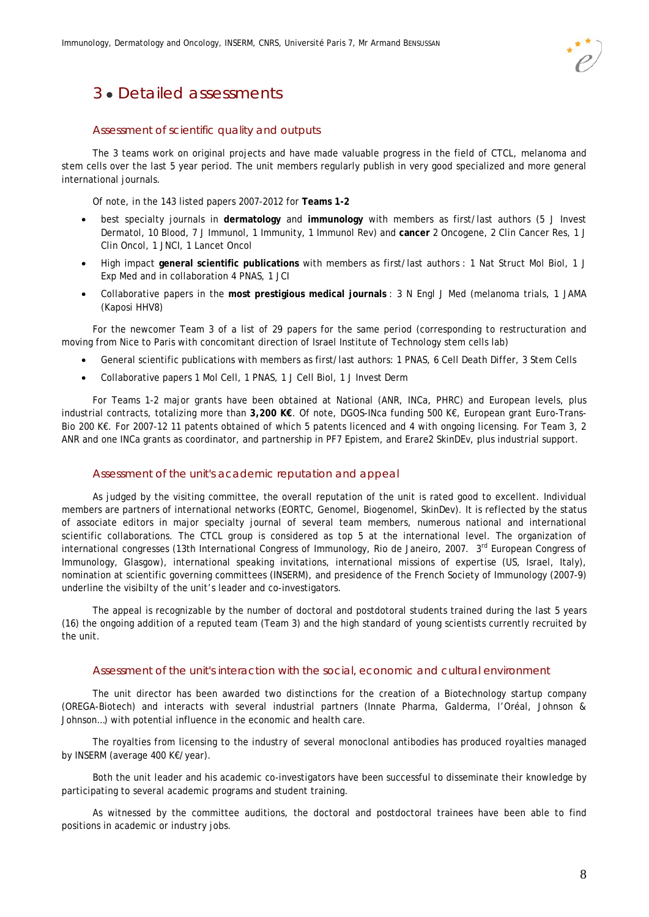# 3 Detailed assessments

#### Assessment of scientific quality and outputs

The 3 teams work on original projects and have made valuable progress in the field of CTCL, melanoma and stem cells over the last 5 year period. The unit members regularly publish in very good specialized and more general international journals.

Of note, in the 143 listed papers 2007-2012 for **Teams 1-2** 

- best specialty journals in **dermatology** and **immunology** with members as first/last authors (5 J Invest Dermatol, 10 Blood, 7 J Immunol, 1 Immunity, 1 Immunol Rev) and **cancer** 2 Oncogene, 2 Clin Cancer Res, 1 J Clin Oncol, 1 JNCI, 1 Lancet Oncol
- High impact **general scientific publications** with members as first/last authors : 1 Nat Struct Mol Biol, 1 J Exp Med and in collaboration 4 PNAS, 1 JCI
- Collaborative papers in the **most prestigious medical journals** : 3 N Engl J Med (melanoma trials, 1 JAMA (Kaposi HHV8)

For the newcomer Team 3 of a list of 29 papers for the same period (corresponding to restructuration and moving from Nice to Paris with concomitant direction of Israel Institute of Technology stem cells lab)

- General scientific publications with members as first/last authors: 1 PNAS, 6 Cell Death Differ, 3 Stem Cells
- Collaborative papers 1 Mol Cell, 1 PNAS, 1 J Cell Biol, 1 J Invest Derm

For Teams 1-2 major grants have been obtained at National (ANR, INCa, PHRC) and European levels, plus industrial contracts, totalizing more than **3,200 K€**. Of note, DGOS-INca funding 500 K€, European grant Euro-Trans-Bio 200 K€. For 2007-12 11 patents obtained of which 5 patents licenced and 4 with ongoing licensing. For Team 3, 2 ANR and one INCa grants as coordinator, and partnership in PF7 Epistem, and Erare2 SkinDEv, plus industrial support.

#### Assessment of the unit's academic reputation and appeal

As judged by the visiting committee, the overall reputation of the unit is rated good to excellent. Individual members are partners of international networks (EORTC, Genomel, Biogenomel, SkinDev). It is reflected by the status of associate editors in major specialty journal of several team members, numerous national and international scientific collaborations. The CTCL group is considered as top 5 at the international level. The organization of international congresses (13th International Congress of Immunology, Rio de Janeiro, 2007. 3<sup>rd</sup> European Congress of Immunology, Glasgow), international speaking invitations, international missions of expertise (US, Israel, Italy), nomination at scientific governing committees (INSERM), and presidence of the French Society of Immunology (2007-9) underline the visibilty of the unit's leader and co-investigators.

The appeal is recognizable by the number of doctoral and postdotoral students trained during the last 5 years (16) the ongoing addition of a reputed team (Team 3) and the high standard of young scientists currently recruited by the unit.

#### Assessment of the unit's interaction with the social, economic and cultural environment

The unit director has been awarded two distinctions for the creation of a Biotechnology startup company (OREGA-Biotech) and interacts with several industrial partners (Innate Pharma, Galderma, l'Oréal, Johnson & Johnson…) with potential influence in the economic and health care.

The royalties from licensing to the industry of several monoclonal antibodies has produced royalties managed by INSERM (average 400 K€/year).

Both the unit leader and his academic co-investigators have been successful to disseminate their knowledge by participating to several academic programs and student training.

As witnessed by the committee auditions, the doctoral and postdoctoral trainees have been able to find positions in academic or industry jobs.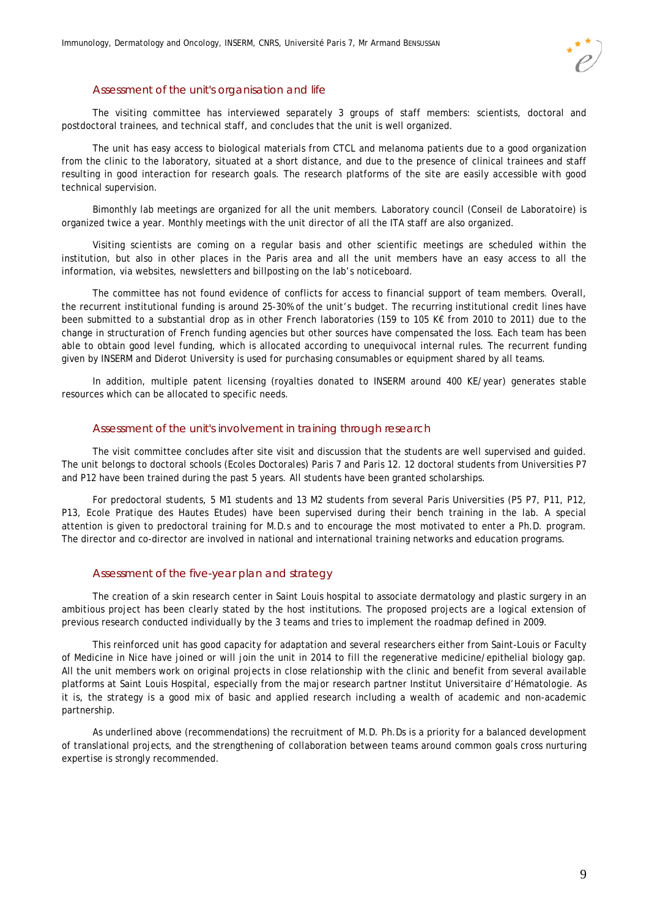#### Assessment of the unit's organisation and life

The visiting committee has interviewed separately 3 groups of staff members: scientists, doctoral and postdoctoral trainees, and technical staff, and concludes that the unit is well organized.

The unit has easy access to biological materials from CTCL and melanoma patients due to a good organization from the clinic to the laboratory, situated at a short distance, and due to the presence of clinical trainees and staff resulting in good interaction for research goals. The research platforms of the site are easily accessible with good technical supervision.

Bimonthly lab meetings are organized for all the unit members. Laboratory council (*Conseil de Laboratoire*) is organized twice a year. Monthly meetings with the unit director of all the ITA staff are also organized.

Visiting scientists are coming on a regular basis and other scientific meetings are scheduled within the institution, but also in other places in the Paris area and all the unit members have an easy access to all the information, via websites, newsletters and billposting on the lab's noticeboard.

The committee has not found evidence of conflicts for access to financial support of team members. Overall, the recurrent institutional funding is around 25-30% of the unit's budget. The recurring institutional credit lines have been submitted to a substantial drop as in other French laboratories (159 to 105 K€ from 2010 to 2011) due to the change in structuration of French funding agencies but other sources have compensated the loss. Each team has been able to obtain good level funding, which is allocated according to unequivocal internal rules. The recurrent funding given by INSERM and Diderot University is used for purchasing consumables or equipment shared by all teams.

In addition, multiple patent licensing (royalties donated to INSERM around 400 KE/year) generates stable resources which can be allocated to specific needs.

#### Assessment of the unit's involvement in training through research

The visit committee concludes after site visit and discussion that the students are well supervised and guided. The unit belongs to doctoral schools (*Ecoles Doctorales)* Paris 7 and Paris 12. 12 doctoral students from Universities P7 and P12 have been trained during the past 5 years. All students have been granted scholarships.

For predoctoral students, 5 M1 students and 13 M2 students from several Paris Universities (P5 P7, P11, P12, P13, Ecole Pratique des Hautes Etudes) have been supervised during their bench training in the lab. A special attention is given to predoctoral training for M.D.s and to encourage the most motivated to enter a Ph.D. program. The director and co-director are involved in national and international training networks and education programs.

#### Assessment of the five-year plan and strategy

The creation of a skin research center in Saint Louis hospital to associate dermatology and plastic surgery in an ambitious project has been clearly stated by the host institutions. The proposed projects are a logical extension of previous research conducted individually by the 3 teams and tries to implement the roadmap defined in 2009.

This reinforced unit has good capacity for adaptation and several researchers either from Saint-Louis or Faculty of Medicine in Nice have joined or will join the unit in 2014 to fill the regenerative medicine/epithelial biology gap. All the unit members work on original projects in close relationship with the clinic and benefit from several available platforms at Saint Louis Hospital, especially from the major research partner Institut Universitaire d'Hématologie. As it is, the strategy is a good mix of basic and applied research including a wealth of academic and non-academic partnership.

As underlined above (recommendations) the recruitment of M.D. Ph.Ds is a priority for a balanced development of translational projects, and the strengthening of collaboration between teams around common goals cross nurturing expertise is strongly recommended.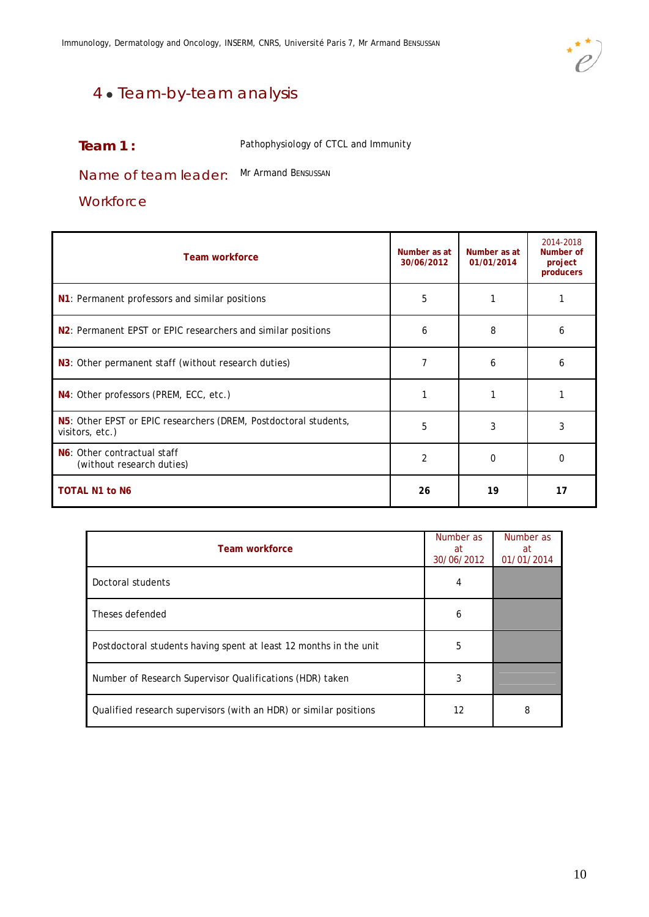

# 4 • Team-by-team analysis

**Team 1 :** Pathophysiology of CTCL and Immunity

Name of team leader: Mr Armand BENSUSSAN

### **Workforce**

| <b>Team workforce</b>                                                               | Number as at<br>30/06/2012 | Number as at<br>01/01/2014 | 2014-2018<br>Number of<br>project<br>producers |
|-------------------------------------------------------------------------------------|----------------------------|----------------------------|------------------------------------------------|
| N1: Permanent professors and similar positions                                      | 5                          |                            |                                                |
| N <sub>2</sub> : Permanent EPST or EPIC researchers and similar positions           | 6                          | 8                          | 6                                              |
| N3: Other permanent staff (without research duties)                                 |                            | 6                          | 6                                              |
| N4: Other professors (PREM, ECC, etc.)                                              |                            |                            |                                                |
| N5: Other EPST or EPIC researchers (DREM, Postdoctoral students,<br>visitors, etc.) | 5                          | 3                          | 3                                              |
| N6: Other contractual staff<br>(without research duties)                            | 2                          | $\Omega$                   | <sup>0</sup>                                   |
| <b>TOTAL N1 to N6</b>                                                               | 26                         | 19                         | 17                                             |

| <b>Team workforce</b>                                             | Number as<br>at<br>30/06/2012 | Number as<br>at<br>01/01/2014 |
|-------------------------------------------------------------------|-------------------------------|-------------------------------|
| Doctoral students                                                 | 4                             |                               |
| Theses defended                                                   | 6                             |                               |
| Postdoctoral students having spent at least 12 months in the unit | 5                             |                               |
| Number of Research Supervisor Qualifications (HDR) taken          | 3                             |                               |
| Qualified research supervisors (with an HDR) or similar positions | 12                            | 8                             |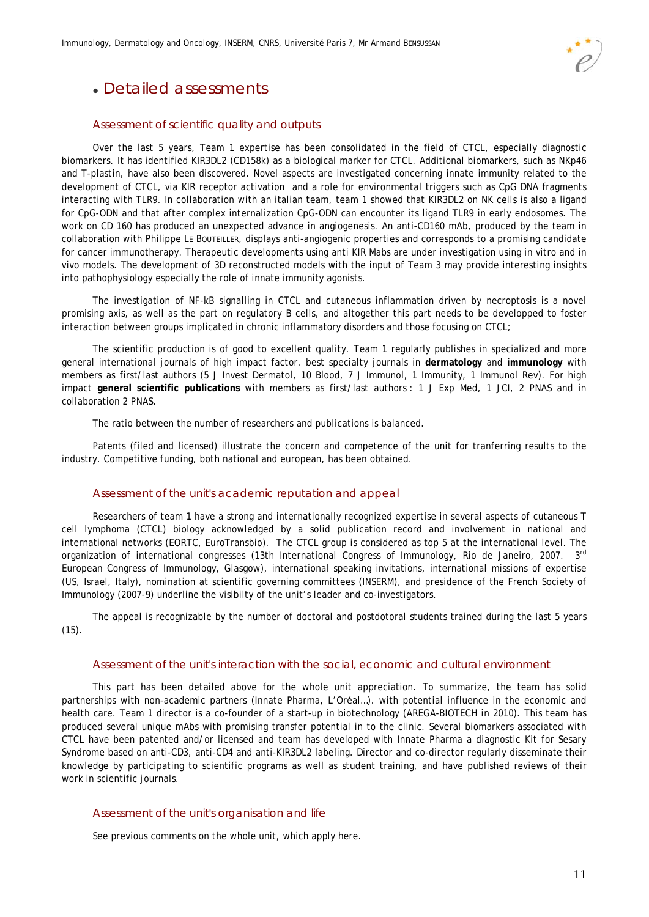

# Detailed assessments

#### Assessment of scientific quality and outputs

Over the last 5 years, Team 1 expertise has been consolidated in the field of CTCL, especially diagnostic biomarkers. It has identified KIR3DL2 (CD158k) as a biological marker for CTCL. Additional biomarkers, such as NKp46 and T-plastin, have also been discovered. Novel aspects are investigated concerning innate immunity related to the development of CTCL, via KIR receptor activation and a role for environmental triggers such as CpG DNA fragments interacting with TLR9. In collaboration with an italian team, team 1 showed that KIR3DL2 on NK cells is also a ligand for CpG-ODN and that after complex internalization CpG-ODN can encounter its ligand TLR9 in early endosomes. The work on CD 160 has produced an unexpected advance in angiogenesis. An anti-CD160 mAb, produced by the team in collaboration with Philippe LE BOUTEILLER, displays anti-angiogenic properties and corresponds to a promising candidate for cancer immunotherapy. Therapeutic developments using anti KIR Mabs are under investigation using in vitro and in vivo models. The development of 3D reconstructed models with the input of Team 3 may provide interesting insights into pathophysiology especially the role of innate immunity agonists.

The investigation of NF-kB signalling in CTCL and cutaneous inflammation driven by necroptosis is a novel promising axis, as well as the part on regulatory B cells, and altogether this part needs to be developped to foster interaction between groups implicated in chronic inflammatory disorders and those focusing on CTCL;

The scientific production is of good to excellent quality. Team 1 regularly publishes in specialized and more general international journals of high impact factor. best specialty journals in **dermatology** and **immunology** with members as first/last authors (5 J Invest Dermatol, 10 Blood, 7 J Immunol, 1 Immunity, 1 Immunol Rev). For high impact **general scientific publications** with members as first/last authors : 1 J Exp Med, 1 JCI, 2 PNAS and in collaboration 2 PNAS.

The ratio between the number of researchers and publications is balanced.

Patents (filed and licensed) illustrate the concern and competence of the unit for tranferring results to the industry. Competitive funding, both national and european, has been obtained.

#### Assessment of the unit's academic reputation and appeal

Researchers of team 1 have a strong and internationally recognized expertise in several aspects of cutaneous T cell lymphoma (CTCL) biology acknowledged by a solid publication record and involvement in national and international networks (EORTC, EuroTransbio). The CTCL group is considered as top 5 at the international level. The organization of international congresses (13th International Congress of Immunology, Rio de Janeiro, 2007. 3<sup>rd</sup> European Congress of Immunology, Glasgow), international speaking invitations, international missions of expertise (US, Israel, Italy), nomination at scientific governing committees (INSERM), and presidence of the French Society of Immunology (2007-9) underline the visibilty of the unit's leader and co-investigators.

The appeal is recognizable by the number of doctoral and postdotoral students trained during the last 5 years  $(15)$ .

#### Assessment of the unit's interaction with the social, economic and cultural environment

This part has been detailed above for the whole unit appreciation. To summarize, the team has solid partnerships with non-academic partners (Innate Pharma, L'Oréal…). with potential influence in the economic and health care. Team 1 director is a co-founder of a start-up in biotechnology (AREGA-BIOTECH in 2010). This team has produced several unique mAbs with promising transfer potential in to the clinic. Several biomarkers associated with CTCL have been patented and/or licensed and team has developed with Innate Pharma a diagnostic Kit for Sesary Syndrome based on anti-CD3, anti-CD4 and anti-KIR3DL2 labeling. Director and co-director regularly disseminate their knowledge by participating to scientific programs as well as student training, and have published reviews of their work in scientific journals.

#### Assessment of the unit's organisation and life

See previous comments on the whole unit, which apply here.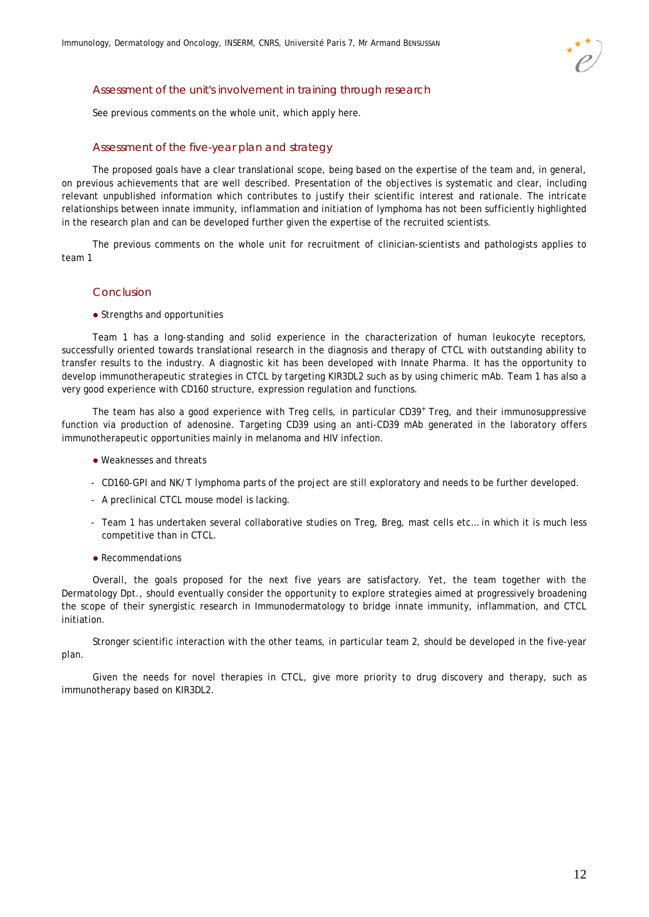

#### Assessment of the unit's involvement in training through research

See previous comments on the whole unit, which apply here.

#### Assessment of the five-year plan and strategy

The proposed goals have a clear translational scope, being based on the expertise of the team and, in general, on previous achievements that are well described. Presentation of the objectives is systematic and clear, including relevant unpublished information which contributes to justify their scientific interest and rationale. The intricate relationships between innate immunity, inflammation and initiation of lymphoma has not been sufficiently highlighted in the research plan and can be developed further given the expertise of the recruited scientists.

The previous comments on the whole unit for recruitment of clinician-scientists and pathologists applies to team 1

#### Conclusion

• Strengths and opportunities

Team 1 has a long-standing and solid experience in the characterization of human leukocyte receptors, successfully oriented towards translational research in the diagnosis and therapy of CTCL with outstanding ability to transfer results to the industry. A diagnostic kit has been developed with Innate Pharma. It has the opportunity to develop immunotherapeutic strategies in CTCL by targeting KIR3DL2 such as by using chimeric mAb. Team 1 has also a very good experience with CD160 structure, expression regulation and functions.

The team has also a good experience with Treg cells, in particular CD39<sup>+</sup> Treg, and their immunosuppressive function via production of adenosine. Targeting CD39 using an anti-CD39 mAb generated in the laboratory offers immunotherapeutic opportunities mainly in melanoma and HIV infection.

- Weaknesses and threats
- CD160-GPI and NK/T lymphoma parts of the project are still exploratory and needs to be further developed.
- A preclinical CTCL mouse model is lacking.
- Team 1 has undertaken several collaborative studies on Treg, Breg, mast cells etc… in which it is much less competitive than in CTCL.
- Recommendations

Overall, the goals proposed for the next five years are satisfactory. Yet, the team together with the Dermatology Dpt., should eventually consider the opportunity to explore strategies aimed at progressively broadening the scope of their synergistic research in Immunodermatology to bridge innate immunity, inflammation, and CTCL initiation.

Stronger scientific interaction with the other teams, in particular team 2, should be developed in the five-year plan.

Given the needs for novel therapies in CTCL, give more priority to drug discovery and therapy, such as immunotherapy based on KIR3DL2.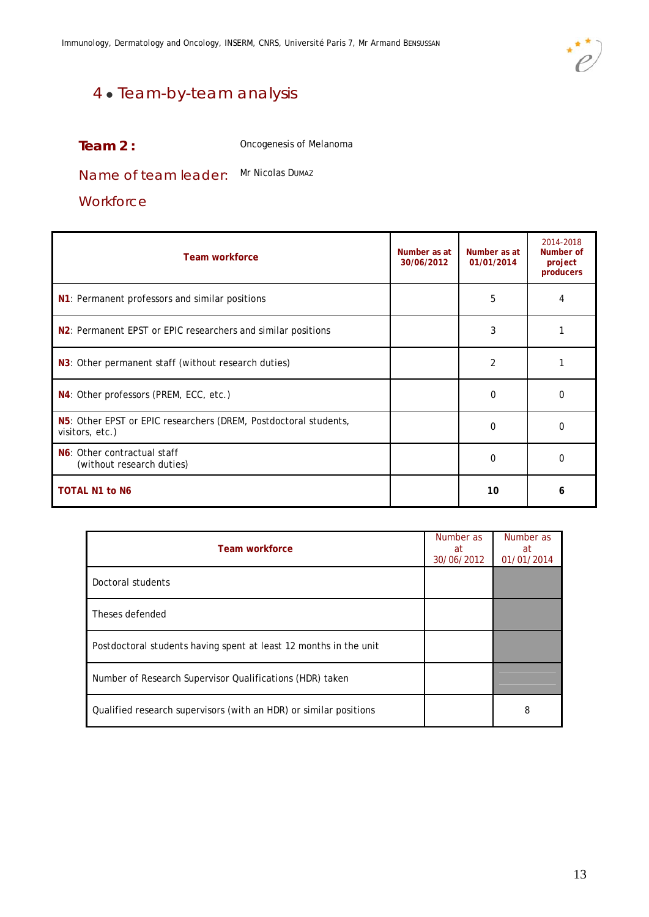

# 4 • Team-by-team analysis

| Team $2:$ | Oncogenesis of Melanoma |
|-----------|-------------------------|
|-----------|-------------------------|

Name of team leader: Mr Nicolas DumAz

**Workforce** 

| <b>Team workforce</b>                                                               | Number as at<br>30/06/2012 | Number as at<br>01/01/2014 | 2014-2018<br>Number of<br>project<br>producers |
|-------------------------------------------------------------------------------------|----------------------------|----------------------------|------------------------------------------------|
| N1: Permanent professors and similar positions                                      |                            | 5                          |                                                |
| N <sub>2</sub> : Permanent EPST or EPIC researchers and similar positions           |                            | 3                          |                                                |
| N3: Other permanent staff (without research duties)                                 |                            | $\overline{2}$             |                                                |
| N4: Other professors (PREM, ECC, etc.)                                              |                            | $\Omega$                   | O                                              |
| N5: Other EPST or EPIC researchers (DREM, Postdoctoral students,<br>visitors, etc.) |                            | 0                          | 0                                              |
| N6: Other contractual staff<br>(without research duties)                            |                            | $\Omega$                   | <sup>0</sup>                                   |
| <b>TOTAL N1 to N6</b>                                                               |                            | 10                         | 6                                              |

| Team workforce                                                    | Number as<br>at<br>30/06/2012 | Number as<br>at<br>01/01/2014 |
|-------------------------------------------------------------------|-------------------------------|-------------------------------|
| Doctoral students                                                 |                               |                               |
| Theses defended                                                   |                               |                               |
| Postdoctoral students having spent at least 12 months in the unit |                               |                               |
| Number of Research Supervisor Qualifications (HDR) taken          |                               |                               |
| Qualified research supervisors (with an HDR) or similar positions |                               | 8                             |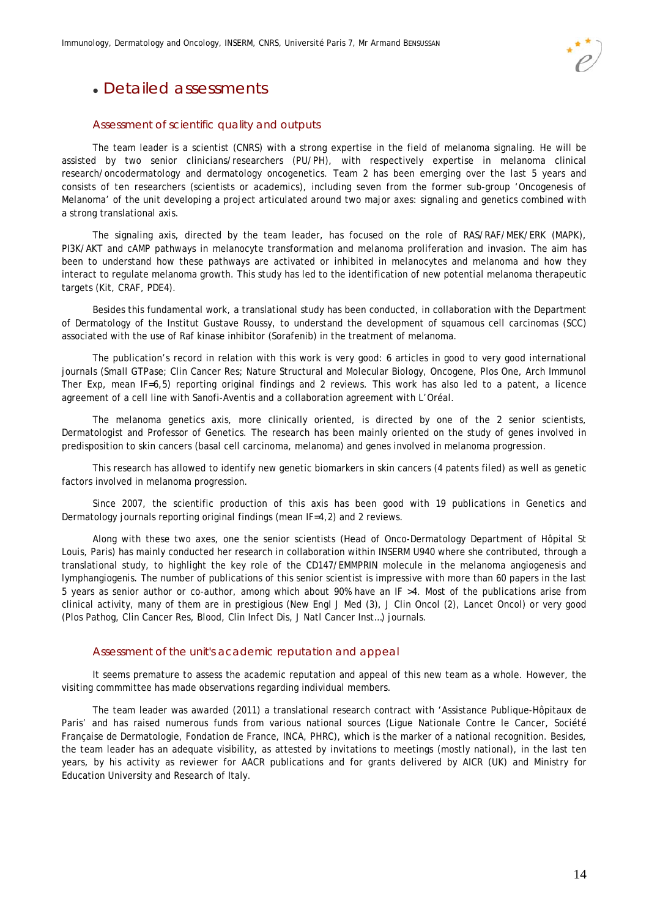Immunology, Dermatology and Oncology, INSERM, CNRS, Université Paris 7, Mr Armand BENSUSSAN

# Detailed assessments

### Assessment of scientific quality and outputs

The team leader is a scientist (CNRS) with a strong expertise in the field of melanoma signaling. He will be assisted by two senior clinicians/researchers (PU/PH), with respectively expertise in melanoma clinical research/oncodermatology and dermatology oncogenetics. Team 2 has been emerging over the last 5 years and consists of ten researchers (scientists or academics), including seven from the former sub-group 'Oncogenesis of Melanoma' of the unit developing a project articulated around two major axes: signaling and genetics combined with a strong translational axis.

The signaling axis, directed by the team leader, has focused on the role of RAS/RAF/MEK/ERK (MAPK), PI3K/AKT and cAMP pathways in melanocyte transformation and melanoma proliferation and invasion. The aim has been to understand how these pathways are activated or inhibited in melanocytes and melanoma and how they interact to regulate melanoma growth. This study has led to the identification of new potential melanoma therapeutic targets (Kit, CRAF, PDE4).

Besides this fundamental work, a translational study has been conducted, in collaboration with the Department of Dermatology of the Institut Gustave Roussy, to understand the development of squamous cell carcinomas (SCC) associated with the use of Raf kinase inhibitor (Sorafenib) in the treatment of melanoma.

The publication's record in relation with this work is very good: 6 articles in good to very good international journals (Small GTPase; Clin Cancer Res; Nature Structural and Molecular Biology, Oncogene, Plos One, Arch Immunol Ther Exp, mean IF=6,5) reporting original findings and 2 reviews. This work has also led to a patent, a licence agreement of a cell line with Sanofi-Aventis and a collaboration agreement with L'Oréal.

The melanoma genetics axis, more clinically oriented, is directed by one of the 2 senior scientists, Dermatologist and Professor of Genetics. The research has been mainly oriented on the study of genes involved in predisposition to skin cancers (basal cell carcinoma, melanoma) and genes involved in melanoma progression.

This research has allowed to identify new genetic biomarkers in skin cancers (4 patents filed) as well as genetic factors involved in melanoma progression.

Since 2007, the scientific production of this axis has been good with 19 publications in Genetics and Dermatology journals reporting original findings (mean IF=4,2) and 2 reviews.

Along with these two axes, one the senior scientists (Head of Onco-Dermatology Department of Hôpital St Louis, Paris) has mainly conducted her research in collaboration within INSERM U940 where she contributed, through a translational study, to highlight the key role of the CD147/EMMPRIN molecule in the melanoma angiogenesis and lymphangiogenis. The number of publications of this senior scientist is impressive with more than 60 papers in the last 5 years as senior author or co-author, among which about 90% have an IF >4. Most of the publications arise from clinical activity, many of them are in prestigious (New Engl J Med (3), J Clin Oncol (2), Lancet Oncol) or very good (Plos Pathog, Clin Cancer Res, Blood, Clin Infect Dis, J Natl Cancer Inst…) journals.

#### Assessment of the unit's academic reputation and appeal

It seems premature to assess the academic reputation and appeal of this new team as a whole. However, the visiting commmittee has made observations regarding individual members.

The team leader was awarded (2011) a translational research contract with 'Assistance Publique-Hôpitaux de Paris' and has raised numerous funds from various national sources (Ligue Nationale Contre le Cancer, Société Française de Dermatologie, Fondation de France, INCA, PHRC), which is the marker of a national recognition. Besides, the team leader has an adequate visibility, as attested by invitations to meetings (mostly national), in the last ten years, by his activity as reviewer for AACR publications and for grants delivered by AICR (UK) and Ministry for Education University and Research of Italy.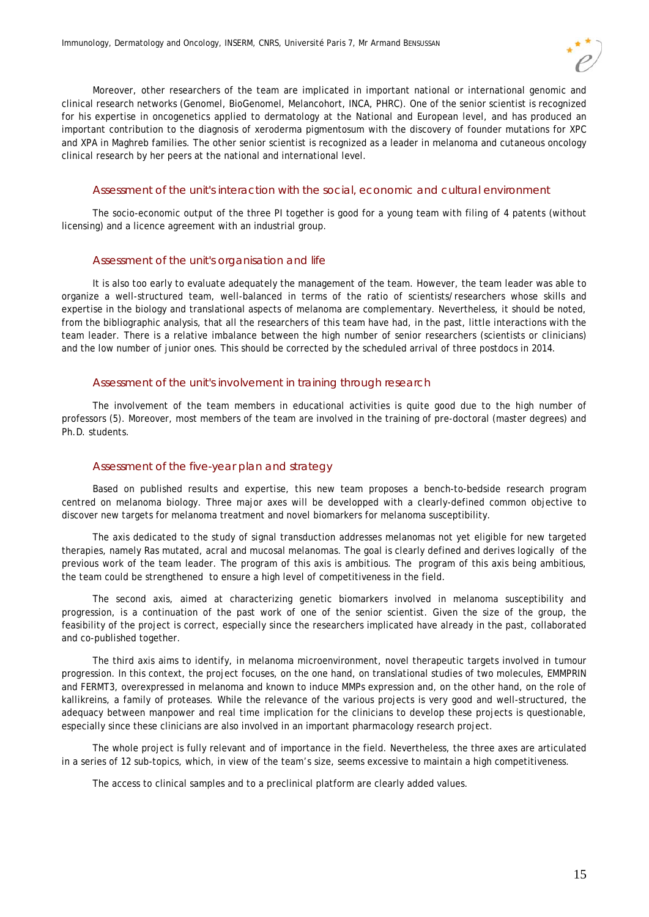Moreover, other researchers of the team are implicated in important national or international genomic and clinical research networks (Genomel, BioGenomel, Melancohort, INCA, PHRC). One of the senior scientist is recognized for his expertise in oncogenetics applied to dermatology at the National and European level, and has produced an important contribution to the diagnosis of xeroderma pigmentosum with the discovery of founder mutations for XPC and XPA in Maghreb families. The other senior scientist is recognized as a leader in melanoma and cutaneous oncology clinical research by her peers at the national and international level.

#### Assessment of the unit's interaction with the social, economic and cultural environment

The socio-economic output of the three PI together is good for a young team with filing of 4 patents (without licensing) and a licence agreement with an industrial group.

#### Assessment of the unit's organisation and life

It is also too early to evaluate adequately the management of the team. However, the team leader was able to organize a well-structured team, well-balanced in terms of the ratio of scientists/researchers whose skills and expertise in the biology and translational aspects of melanoma are complementary. Nevertheless, it should be noted, from the bibliographic analysis, that all the researchers of this team have had, in the past, little interactions with the team leader. There is a relative imbalance between the high number of senior researchers (scientists or clinicians) and the low number of junior ones. This should be corrected by the scheduled arrival of three postdocs in 2014.

#### Assessment of the unit's involvement in training through research

The involvement of the team members in educational activities is quite good due to the high number of professors (5). Moreover, most members of the team are involved in the training of pre-doctoral (master degrees) and Ph.D. students.

#### Assessment of the five-year plan and strategy

Based on published results and expertise, this new team proposes a bench-to-bedside research program centred on melanoma biology. Three major axes will be developped with a clearly-defined common objective to discover new targets for melanoma treatment and novel biomarkers for melanoma susceptibility.

The axis dedicated to the study of signal transduction addresses melanomas not yet eligible for new targeted therapies, namely Ras mutated, acral and mucosal melanomas. The goal is clearly defined and derives logically of the previous work of the team leader. The program of this axis is ambitious. The program of this axis being ambitious, the team could be strengthened to ensure a high level of competitiveness in the field.

The second axis, aimed at characterizing genetic biomarkers involved in melanoma susceptibility and progression, is a continuation of the past work of one of the senior scientist. Given the size of the group, the feasibility of the project is correct, especially since the researchers implicated have already in the past, collaborated and co-published together.

The third axis aims to identify, in melanoma microenvironment, novel therapeutic targets involved in tumour progression. In this context, the project focuses, on the one hand, on translational studies of two molecules, EMMPRIN and FERMT3, overexpressed in melanoma and known to induce MMPs expression and, on the other hand, on the role of kallikreins, a family of proteases. While the relevance of the various projects is very good and well-structured, the adequacy between manpower and real time implication for the clinicians to develop these projects is questionable, especially since these clinicians are also involved in an important pharmacology research project.

The whole project is fully relevant and of importance in the field. Nevertheless, the three axes are articulated in a series of 12 sub-topics, which, in view of the team's size, seems excessive to maintain a high competitiveness.

The access to clinical samples and to a preclinical platform are clearly added values.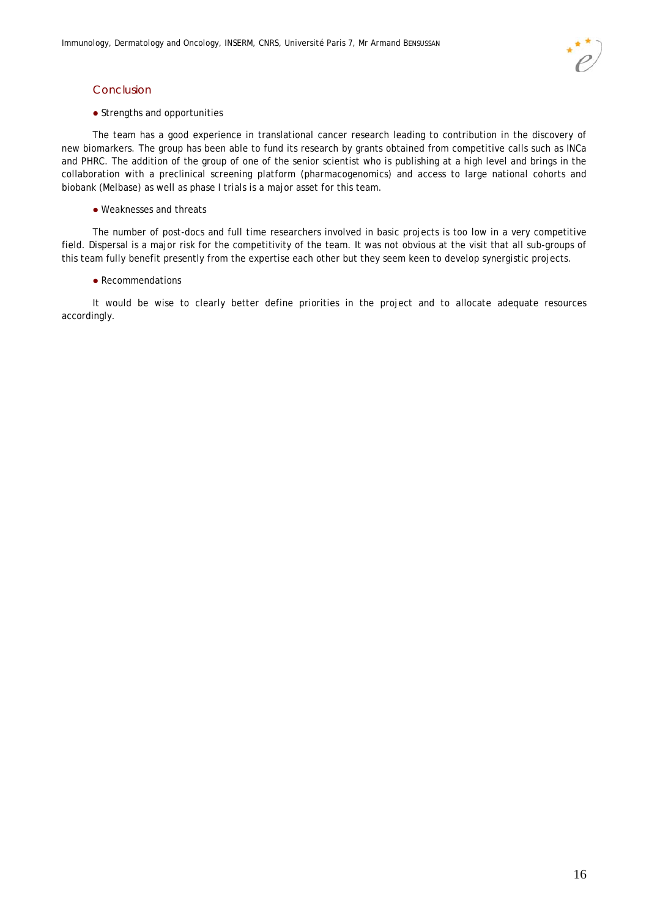#### Conclusion

#### • Strengths and opportunities

The team has a good experience in translational cancer research leading to contribution in the discovery of new biomarkers. The group has been able to fund its research by grants obtained from competitive calls such as INCa and PHRC. The addition of the group of one of the senior scientist who is publishing at a high level and brings in the collaboration with a preclinical screening platform (pharmacogenomics) and access to large national cohorts and biobank (Melbase) as well as phase I trials is a major asset for this team.

#### Weaknesses and threats

The number of post-docs and full time researchers involved in basic projects is too low in a very competitive field. Dispersal is a major risk for the competitivity of the team. It was not obvious at the visit that all sub-groups of this team fully benefit presently from the expertise each other but they seem keen to develop synergistic projects.

#### • Recommendations

It would be wise to clearly better define priorities in the project and to allocate adequate resources accordingly.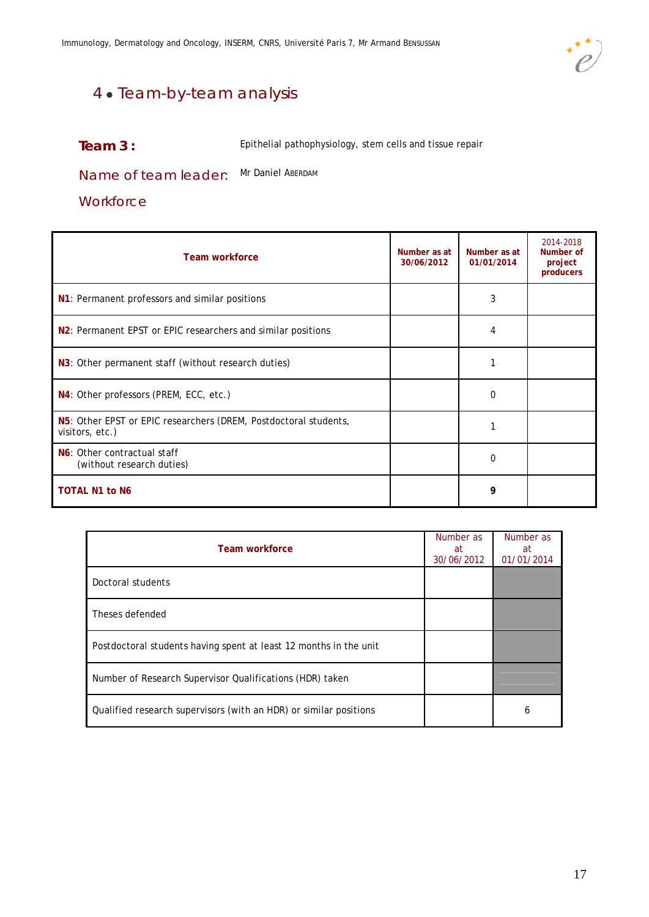

# 4 · Team-by-team analysis

### **Team 3:** Epithelial pathophysiology, stem cells and tissue repair

Name of team leader: Mr Daniel ABERDAM

### **Workforce**

| Team workforce                                                                      | Number as at<br>30/06/2012 | Number as at<br>01/01/2014 | 2014-2018<br>Number of<br>project<br>producers |
|-------------------------------------------------------------------------------------|----------------------------|----------------------------|------------------------------------------------|
| N1: Permanent professors and similar positions                                      |                            | 3                          |                                                |
| N <sub>2</sub> : Permanent EPST or EPIC researchers and similar positions           |                            | 4                          |                                                |
| N3: Other permanent staff (without research duties)                                 |                            | 1                          |                                                |
| N4: Other professors (PREM, ECC, etc.)                                              |                            | $\Omega$                   |                                                |
| N5: Other EPST or EPIC researchers (DREM, Postdoctoral students,<br>visitors, etc.) |                            |                            |                                                |
| N6: Other contractual staff<br>(without research duties)                            |                            | 0                          |                                                |
| <b>TOTAL N1 to N6</b>                                                               |                            | 9                          |                                                |

| Team workforce                                                    | Number as<br>at<br>30/06/2012 | Number as<br>at<br>01/01/2014 |
|-------------------------------------------------------------------|-------------------------------|-------------------------------|
| Doctoral students                                                 |                               |                               |
| Theses defended                                                   |                               |                               |
| Postdoctoral students having spent at least 12 months in the unit |                               |                               |
| Number of Research Supervisor Qualifications (HDR) taken          |                               |                               |
| Qualified research supervisors (with an HDR) or similar positions |                               | b                             |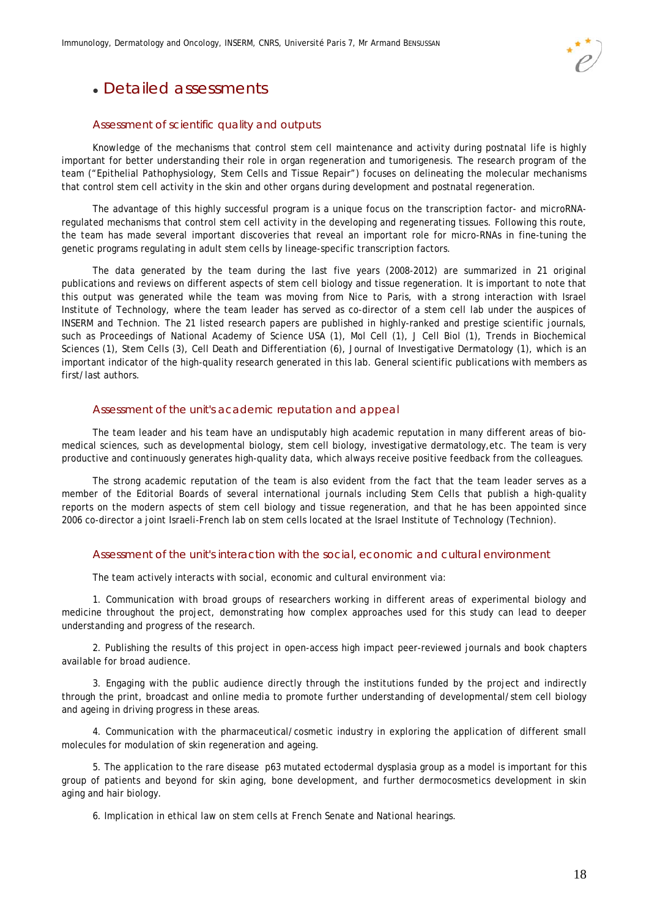

# Detailed assessments

#### Assessment of scientific quality and outputs

Knowledge of the mechanisms that control stem cell maintenance and activity during postnatal life is highly important for better understanding their role in organ regeneration and tumorigenesis. The research program of the team ("Epithelial Pathophysiology, Stem Cells and Tissue Repair") focuses on delineating the molecular mechanisms that control stem cell activity in the skin and other organs during development and postnatal regeneration.

The advantage of this highly successful program is a unique focus on the transcription factor- and microRNAregulated mechanisms that control stem cell activity in the developing and regenerating tissues. Following this route, the team has made several important discoveries that reveal an important role for micro-RNAs in fine-tuning the genetic programs regulating in adult stem cells by lineage-specific transcription factors.

The data generated by the team during the last five years (2008-2012) are summarized in 21 original publications and reviews on different aspects of stem cell biology and tissue regeneration. It is important to note that this output was generated while the team was moving from Nice to Paris, with a strong interaction with Israel Institute of Technology, where the team leader has served as co-director of a stem cell lab under the auspices of INSERM and Technion. The 21 listed research papers are published in highly-ranked and prestige scientific journals, such as Proceedings of National Academy of Science USA (1), Mol Cell (1), J Cell Biol (1), Trends in Biochemical Sciences (1), Stem Cells (3), Cell Death and Differentiation (6), Journal of Investigative Dermatology (1), which is an important indicator of the high-quality research generated in this lab. General scientific publications with members as first/last authors.

#### Assessment of the unit's academic reputation and appeal

The team leader and his team have an undisputably high academic reputation in many different areas of biomedical sciences, such as developmental biology, stem cell biology, investigative dermatology,etc. The team is very productive and continuously generates high-quality data, which always receive positive feedback from the colleagues.

The strong academic reputation of the team is also evident from the fact that the team leader serves as a member of the Editorial Boards of several international journals including Stem Cells that publish a high-quality reports on the modern aspects of stem cell biology and tissue regeneration, and that he has been appointed since 2006 co-director a joint Israeli-French lab on stem cells located at the Israel Institute of Technology (Technion).

#### Assessment of the unit's interaction with the social, economic and cultural environment

The team actively interacts with social, economic and cultural environment via:

1. Communication with broad groups of researchers working in different areas of experimental biology and medicine throughout the project, demonstrating how complex approaches used for this study can lead to deeper understanding and progress of the research.

2. Publishing the results of this project in open-access high impact peer-reviewed journals and book chapters available for broad audience.

3. Engaging with the public audience directly through the institutions funded by the project and indirectly through the print, broadcast and online media to promote further understanding of developmental/stem cell biology and ageing in driving progress in these areas.

4. Communication with the pharmaceutical/cosmetic industry in exploring the application of different small molecules for modulation of skin regeneration and ageing.

5. The application to the rare disease p63 mutated ectodermal dysplasia group as a model is important for this group of patients and beyond for skin aging, bone development, and further dermocosmetics development in skin aging and hair biology.

6. Implication in ethical law on stem cells at French Senate and National hearings.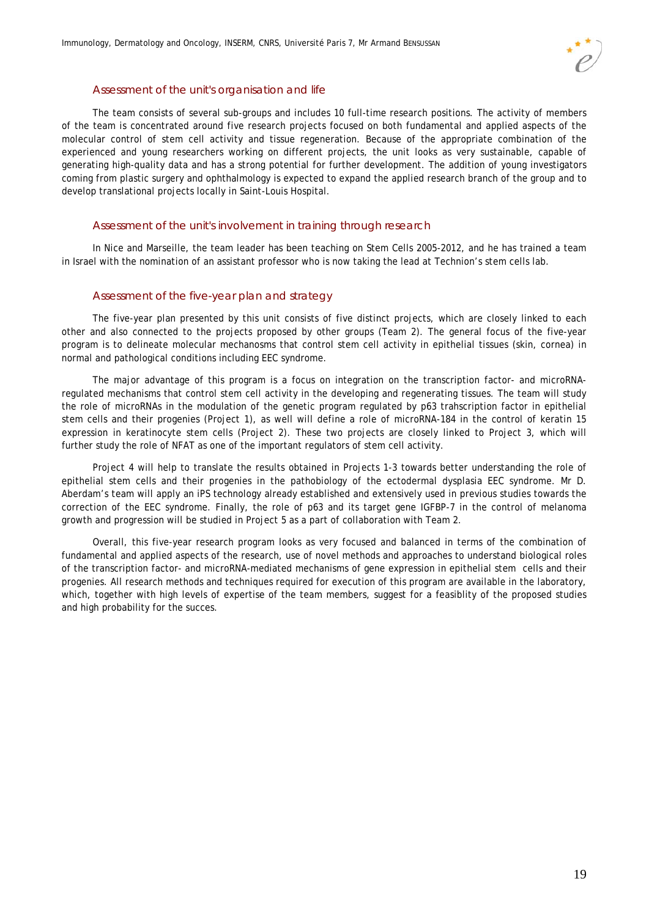

#### Assessment of the unit's organisation and life

The team consists of several sub-groups and includes 10 full-time research positions. The activity of members of the team is concentrated around five research projects focused on both fundamental and applied aspects of the molecular control of stem cell activity and tissue regeneration. Because of the appropriate combination of the experienced and young researchers working on different projects, the unit looks as very sustainable, capable of generating high-quality data and has a strong potential for further development. The addition of young investigators coming from plastic surgery and ophthalmology is expected to expand the applied research branch of the group and to develop translational projects locally in Saint-Louis Hospital.

#### Assessment of the unit's involvement in training through research

In Nice and Marseille, the team leader has been teaching on Stem Cells 2005-2012, and he has trained a team in Israel with the nomination of an assistant professor who is now taking the lead at Technion's stem cells lab.

#### Assessment of the five-year plan and strategy

The five-year plan presented by this unit consists of five distinct projects, which are closely linked to each other and also connected to the projects proposed by other groups (Team 2). The general focus of the five-year program is to delineate molecular mechanosms that control stem cell activity in epithelial tissues (skin, cornea) in normal and pathological conditions including EEC syndrome.

The major advantage of this program is a focus on integration on the transcription factor- and microRNAregulated mechanisms that control stem cell activity in the developing and regenerating tissues. The team will study the role of microRNAs in the modulation of the genetic program regulated by p63 trahscription factor in epithelial stem cells and their progenies (Project 1), as well will define a role of microRNA-184 in the control of keratin 15 expression in keratinocyte stem cells (Project 2). These two projects are closely linked to Project 3, which will further study the role of NFAT as one of the important regulators of stem cell activity.

Project 4 will help to translate the results obtained in Projects 1-3 towards better understanding the role of epithelial stem cells and their progenies in the pathobiology of the ectodermal dysplasia EEC syndrome. Mr D. Aberdam's team will apply an iPS technology already established and extensively used in previous studies towards the correction of the EEC syndrome. Finally, the role of p63 and its target gene IGFBP-7 in the control of melanoma growth and progression will be studied in Project 5 as a part of collaboration with Team 2.

Overall, this five-year research program looks as very focused and balanced in terms of the combination of fundamental and applied aspects of the research, use of novel methods and approaches to understand biological roles of the transcription factor- and microRNA-mediated mechanisms of gene expression in epithelial stem cells and their progenies. All research methods and techniques required for execution of this program are available in the laboratory, which, together with high levels of expertise of the team members, suggest for a feasiblity of the proposed studies and high probability for the succes.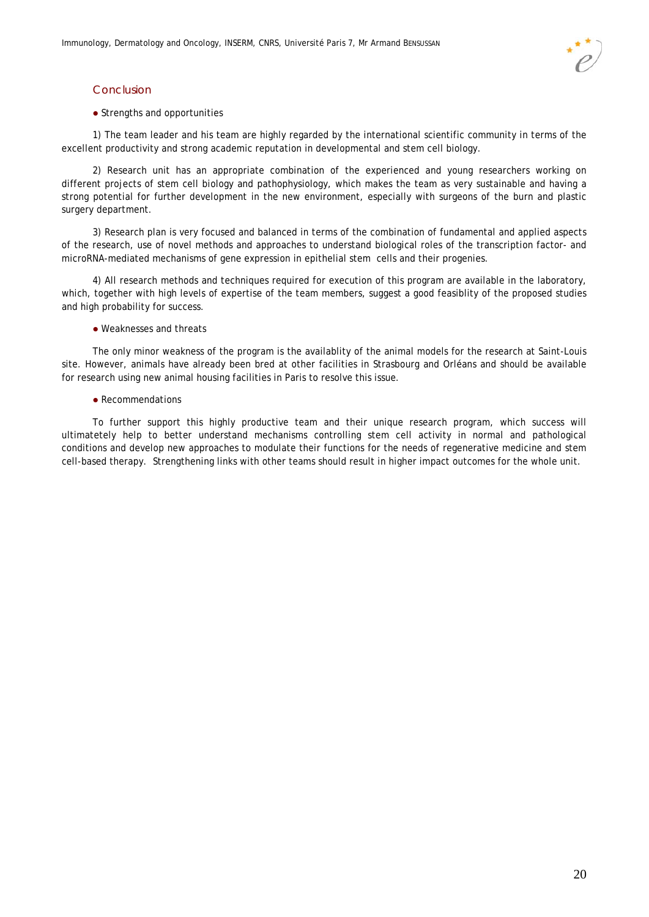### Conclusion

#### • Strengths and opportunities

1) The team leader and his team are highly regarded by the international scientific community in terms of the excellent productivity and strong academic reputation in developmental and stem cell biology.

2) Research unit has an appropriate combination of the experienced and young researchers working on different projects of stem cell biology and pathophysiology, which makes the team as very sustainable and having a strong potential for further development in the new environment, especially with surgeons of the burn and plastic surgery department.

3) Research plan is very focused and balanced in terms of the combination of fundamental and applied aspects of the research, use of novel methods and approaches to understand biological roles of the transcription factor- and microRNA-mediated mechanisms of gene expression in epithelial stem cells and their progenies.

4) All research methods and techniques required for execution of this program are available in the laboratory, which, together with high levels of expertise of the team members, suggest a good feasiblity of the proposed studies and high probability for success.

#### Weaknesses and threats

The only minor weakness of the program is the availablity of the animal models for the research at Saint-Louis site. However, animals have already been bred at other facilities in Strasbourg and Orléans and should be available for research using new animal housing facilities in Paris to resolve this issue.

#### • Recommendations

To further support this highly productive team and their unique research program, which success will ultimatetely help to better understand mechanisms controlling stem cell activity in normal and pathological conditions and develop new approaches to modulate their functions for the needs of regenerative medicine and stem cell-based therapy. Strengthening links with other teams should result in higher impact outcomes for the whole unit.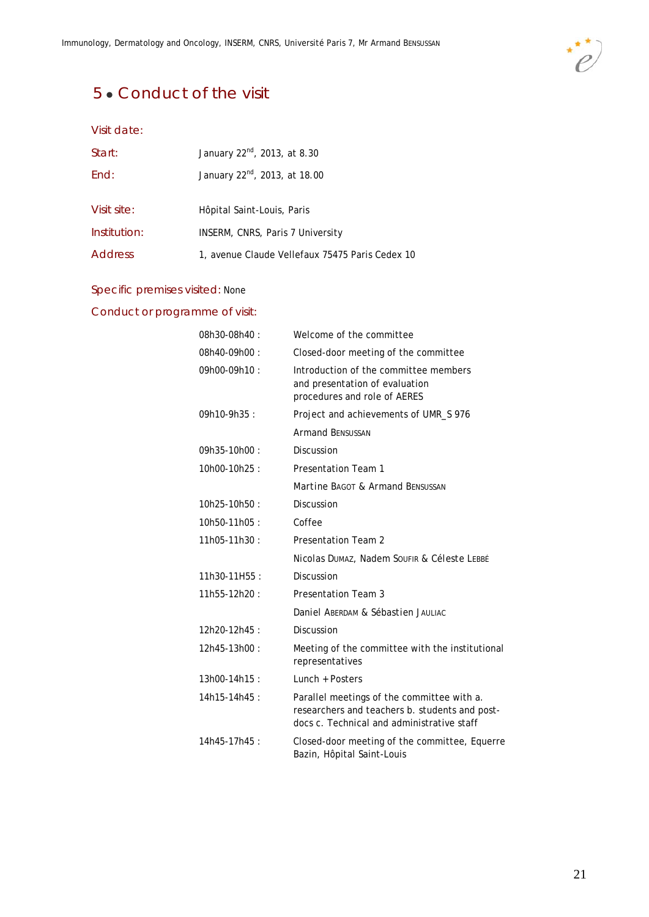

# 5 • Conduct of the visit

### Visit date:

| Start:         | January 22 <sup>nd</sup> , 2013, at 8.30        |
|----------------|-------------------------------------------------|
| End:           | January 22 <sup>nd</sup> , 2013, at 18.00       |
| Visit site:    | Hôpital Saint-Louis, Paris                      |
| Institution:   | INSERM, CNRS, Paris 7 University                |
| <b>Address</b> | 1, avenue Claude Vellefaux 75475 Paris Cedex 10 |

### Specific premises visited: None

### Conduct or programme of visit:

| 08h30-08h40: | Welcome of the committee                                                                                                                   |
|--------------|--------------------------------------------------------------------------------------------------------------------------------------------|
| 08h40-09h00: | Closed-door meeting of the committee                                                                                                       |
| 09h00-09h10: | Introduction of the committee members<br>and presentation of evaluation<br>procedures and role of AERES                                    |
| 09h10-9h35:  | Project and achievements of UMR_S 976                                                                                                      |
|              | <b>Armand BENSUSSAN</b>                                                                                                                    |
| 09h35-10h00: | <b>Discussion</b>                                                                                                                          |
| 10h00-10h25: | <b>Presentation Team 1</b>                                                                                                                 |
|              | Martine BAGOT & Armand BENSUSSAN                                                                                                           |
| 10h25-10h50: | <b>Discussion</b>                                                                                                                          |
| 10h50-11h05: | Coffee                                                                                                                                     |
| 11h05-11h30: | <b>Presentation Team 2</b>                                                                                                                 |
|              | Nicolas DUMAZ, Nadem SOUFIR & Céleste LEBBÉ                                                                                                |
| 11h30-11H55: | <b>Discussion</b>                                                                                                                          |
| 11h55-12h20: | Presentation Team 3                                                                                                                        |
|              | Daniel ABERDAM & Sébastien JAULIAC                                                                                                         |
| 12h20-12h45: | Discussion                                                                                                                                 |
| 12h45-13h00: | Meeting of the committee with the institutional<br>representatives                                                                         |
| 13h00-14h15: | Lunch + Posters                                                                                                                            |
| 14h15-14h45: | Parallel meetings of the committee with a.<br>researchers and teachers b. students and post-<br>docs c. Technical and administrative staff |
| 14h45-17h45: | Closed-door meeting of the committee, Equerre<br>Bazin, Hôpital Saint-Louis                                                                |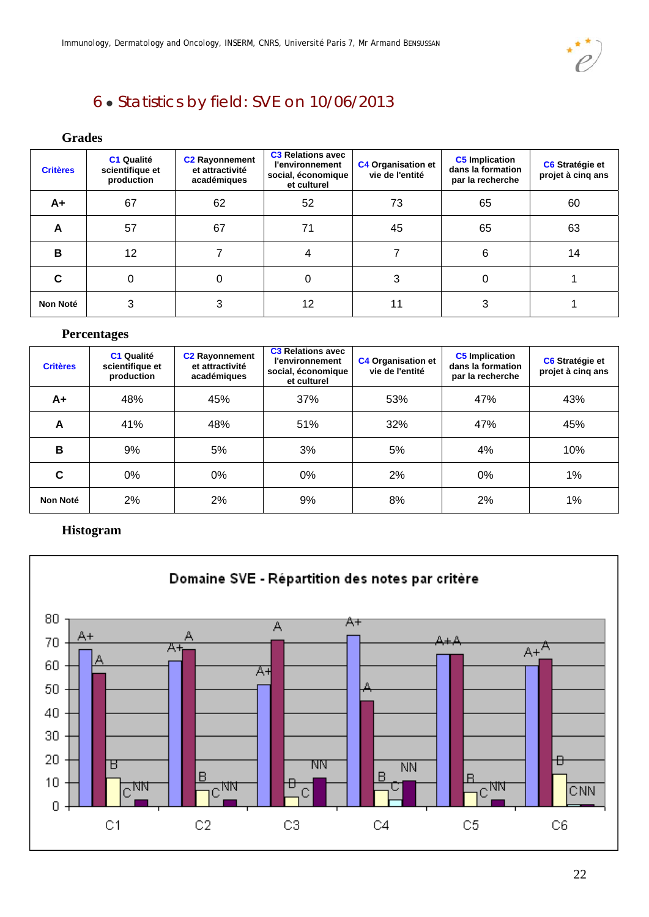

# 6 Statistics by field: SVE on 10/06/2013

### **Grades**

| <b>Critères</b> | C1 Qualité<br>scientifique et<br>production | <b>C2 Rayonnement</b><br>et attractivité<br>académiques | <b>C3 Relations avec</b><br><b>l'environnement</b><br>social, économique<br>et culturel | <b>C4 Organisation et</b><br>vie de l'entité | <b>C5</b> Implication<br>dans la formation<br>par la recherche | C6 Stratégie et<br>projet à cinq ans |
|-----------------|---------------------------------------------|---------------------------------------------------------|-----------------------------------------------------------------------------------------|----------------------------------------------|----------------------------------------------------------------|--------------------------------------|
| A+              | 67                                          | 62                                                      | 52                                                                                      | 73                                           | 65                                                             | 60                                   |
| A               | 57                                          | 67                                                      | 71                                                                                      | 45                                           | 65                                                             | 63                                   |
| B               | 12                                          |                                                         |                                                                                         |                                              | 6                                                              | 14                                   |
| C               | 0                                           | 0                                                       |                                                                                         | 3                                            |                                                                |                                      |
| <b>Non Noté</b> | 3                                           | 3                                                       | 12                                                                                      | 11                                           | 3                                                              |                                      |

### **Percentages**

| <b>Critères</b> | <b>C1 Qualité</b><br>scientifique et<br>production | <b>C2 Rayonnement</b><br>et attractivité<br>académiques | <b>C3 Relations avec</b><br><b>l'environnement</b><br>social, économique<br>et culturel | <b>C4 Organisation et</b><br>vie de l'entité | <b>C5</b> Implication<br>dans la formation<br>par la recherche | C6 Stratégie et<br>projet à cinq ans |
|-----------------|----------------------------------------------------|---------------------------------------------------------|-----------------------------------------------------------------------------------------|----------------------------------------------|----------------------------------------------------------------|--------------------------------------|
| A+              | 48%                                                | 45%                                                     | 37%                                                                                     | 53%                                          | 47%                                                            | 43%                                  |
| A               | 41%                                                | 48%                                                     | 51%                                                                                     | 32%                                          | 47%                                                            | 45%                                  |
| B               | 9%                                                 | 5%                                                      | 3%                                                                                      | 5%                                           | 4%                                                             | 10%                                  |
| C               | 0%                                                 | 0%                                                      | 0%                                                                                      | 2%                                           | 0%                                                             | 1%                                   |
| Non Noté        | 2%                                                 | 2%                                                      | 9%                                                                                      | 8%                                           | 2%                                                             | 1%                                   |

### **Histogram**

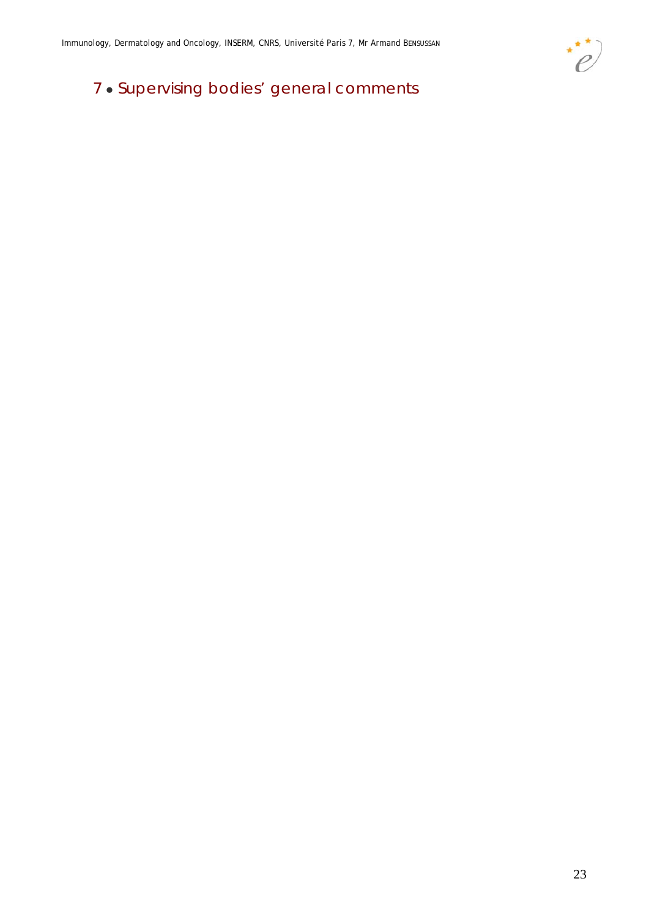

# 7 . Supervising bodies' general comments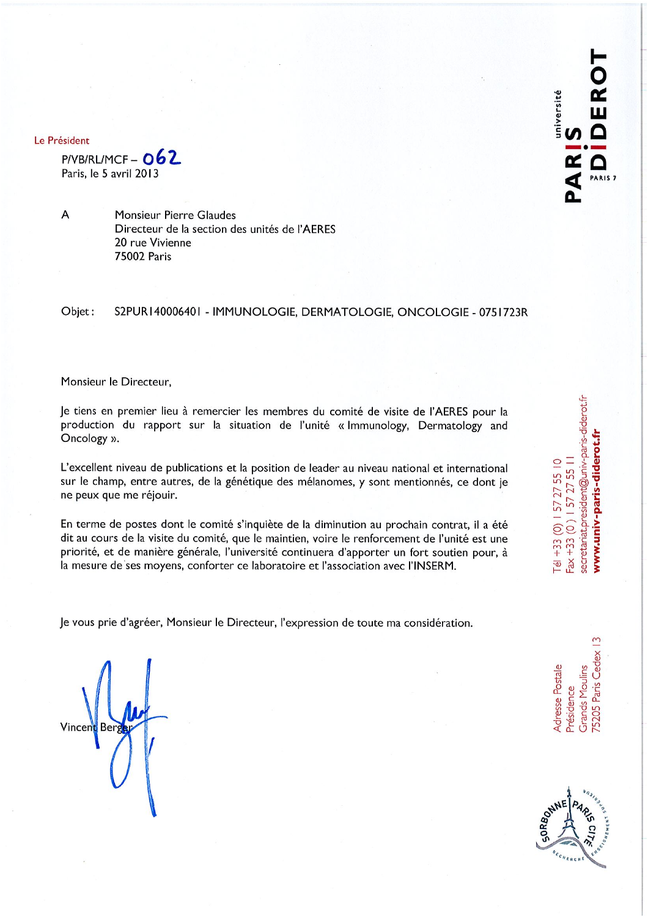Le Président

 $P/VB/RLMCF - 062$ Paris, le 5 avril 2013

A

Monsieur Pierre Glaudes Directeur de la section des unités de l'AERES 20 rue Vivienne **75002 Paris** 

Objet: S2PUR140006401 - IMMUNOLOGIE, DERMATOLOGIE, ONCOLOGIE - 0751723R

#### Monsieur le Directeur,

Je tiens en premier lieu à remercier les membres du comité de visite de l'AERES pour la production du rapport sur la situation de l'unité « Immunology, Dermatology and Oncology ».

L'excellent niveau de publications et la position de leader au niveau national et international sur le champ, entre autres, de la génétique des mélanomes, y sont mentionnés, ce dont je ne peux que me réjouir.

En terme de postes dont le comité s'inquiète de la diminution au prochain contrat, il a été dit au cours de la visite du comité, que le maintien, voire le renforcement de l'unité est une priorité, et de manière générale, l'université continuera d'apporter un fort soutien pour, à la mesure de ses moyens, conforter ce laboratoire et l'association avec l'INSERM.

Je vous prie d'agréer, Monsieur le Directeur, l'expression de toute ma considération.

Vincer

 $\infty$ '5205 Paris Cedex dresse Postale Grands Moulins Présidence



secretariat.president@univ-paris-diderot.fr www.univ-paris-diderot.fr  $Fax + 33(0)$  | 57 27 55 | | Tél +33 (0)  $157$  27 55 10

iversité

PARIS<sub>7</sub>